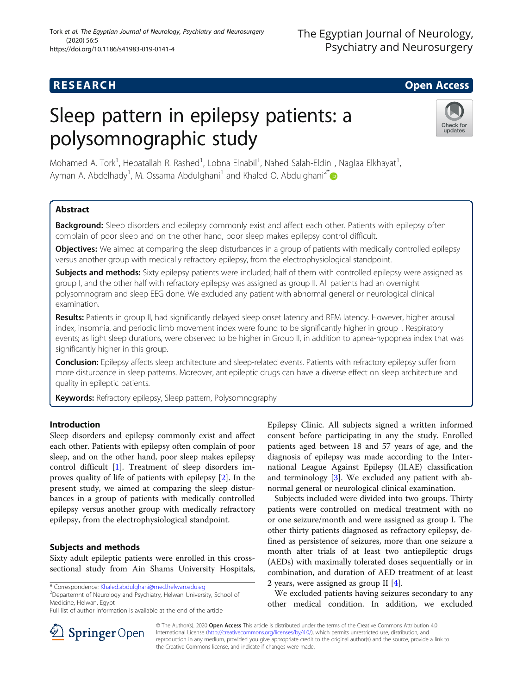## **RESEARCH CHILD CONTROL** CONTROL CONTROL CONTROL CONTROL CONTROL CONTROL CONTROL CONTROL CONTROL CONTROL CONTROL

# Sleep pattern in epilepsy patients: a polysomnographic study



Mohamed A. Tork<sup>1</sup>, Hebatallah R. Rashed<sup>1</sup>, Lobna Elnabil<sup>1</sup>, Nahed Salah-Eldin<sup>1</sup>, Naglaa Elkhayat<sup>1</sup> , Ayman A. Abdelhady<sup>1</sup>, M. Ossama Abdulghani<sup>1</sup> and Khaled O. Abdulghani<sup>2\*</sup>

## Abstract

Background: Sleep disorders and epilepsy commonly exist and affect each other. Patients with epilepsy often complain of poor sleep and on the other hand, poor sleep makes epilepsy control difficult.

Objectives: We aimed at comparing the sleep disturbances in a group of patients with medically controlled epilepsy versus another group with medically refractory epilepsy, from the electrophysiological standpoint.

Subjects and methods: Sixty epilepsy patients were included; half of them with controlled epilepsy were assigned as group I, and the other half with refractory epilepsy was assigned as group II. All patients had an overnight polysomnogram and sleep EEG done. We excluded any patient with abnormal general or neurological clinical examination.

Results: Patients in group II, had significantly delayed sleep onset latency and REM latency. However, higher arousal index, insomnia, and periodic limb movement index were found to be significantly higher in group I. Respiratory events; as light sleep durations, were observed to be higher in Group II, in addition to apnea-hypopnea index that was significantly higher in this group.

Conclusion: Epilepsy affects sleep architecture and sleep-related events. Patients with refractory epilepsy suffer from more disturbance in sleep patterns. Moreover, antiepileptic drugs can have a diverse effect on sleep architecture and quality in epileptic patients.

Keywords: Refractory epilepsy, Sleep pattern, Polysomnography

## Introduction

Sleep disorders and epilepsy commonly exist and affect each other. Patients with epilepsy often complain of poor sleep, and on the other hand, poor sleep makes epilepsy control difficult [\[1](#page-4-0)]. Treatment of sleep disorders improves quality of life of patients with epilepsy [[2\]](#page-4-0). In the present study, we aimed at comparing the sleep disturbances in a group of patients with medically controlled epilepsy versus another group with medically refractory epilepsy, from the electrophysiological standpoint.

## Subjects and methods

Sixty adult epileptic patients were enrolled in this crosssectional study from Ain Shams University Hospitals,

\* Correspondence: [Khaled.abdulghani@med.helwan.edu.eg](mailto:Khaled.abdulghani@med.helwan.edu.eg) <sup>2</sup>

<sup>2</sup>Departemnt of Neurology and Psychiatry, Helwan University, School of Medicine, Helwan, Egypt

Epilepsy Clinic. All subjects signed a written informed consent before participating in any the study. Enrolled patients aged between 18 and 57 years of age, and the diagnosis of epilepsy was made according to the International League Against Epilepsy (ILAE) classification and terminology [\[3](#page-4-0)]. We excluded any patient with abnormal general or neurological clinical examination.

Subjects included were divided into two groups. Thirty patients were controlled on medical treatment with no or one seizure/month and were assigned as group I. The other thirty patients diagnosed as refractory epilepsy, defined as persistence of seizures, more than one seizure a month after trials of at least two antiepileptic drugs (AEDs) with maximally tolerated doses sequentially or in combination, and duration of AED treatment of at least 2 years, were assigned as group II [[4](#page-4-0)].

We excluded patients having seizures secondary to any other medical condition. In addition, we excluded



© The Author(s). 2020 Open Access This article is distributed under the terms of the Creative Commons Attribution 4.0 International License ([http://creativecommons.org/licenses/by/4.0/\)](http://creativecommons.org/licenses/by/4.0/), which permits unrestricted use, distribution, and reproduction in any medium, provided you give appropriate credit to the original author(s) and the source, provide a link to the Creative Commons license, and indicate if changes were made.

Full list of author information is available at the end of the article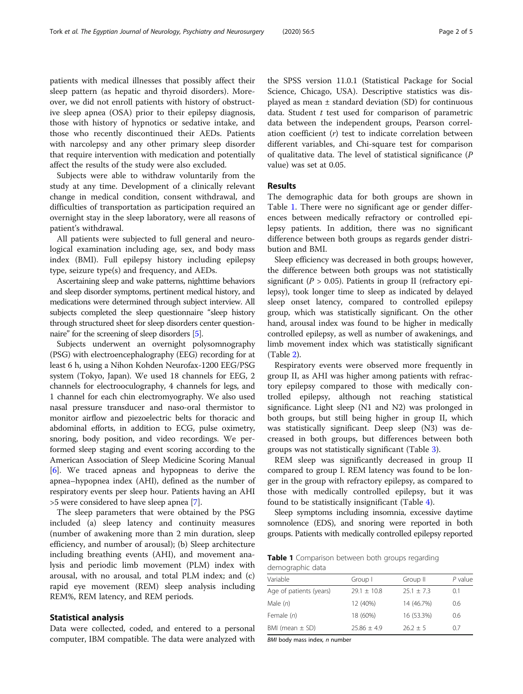patients with medical illnesses that possibly affect their sleep pattern (as hepatic and thyroid disorders). Moreover, we did not enroll patients with history of obstructive sleep apnea (OSA) prior to their epilepsy diagnosis, those with history of hypnotics or sedative intake, and those who recently discontinued their AEDs. Patients with narcolepsy and any other primary sleep disorder that require intervention with medication and potentially affect the results of the study were also excluded.

Subjects were able to withdraw voluntarily from the study at any time. Development of a clinically relevant change in medical condition, consent withdrawal, and difficulties of transportation as participation required an overnight stay in the sleep laboratory, were all reasons of patient's withdrawal.

All patients were subjected to full general and neurological examination including age, sex, and body mass index (BMI). Full epilepsy history including epilepsy type, seizure type(s) and frequency, and AEDs.

Ascertaining sleep and wake patterns, nighttime behaviors and sleep disorder symptoms, pertinent medical history, and medications were determined through subject interview. All subjects completed the sleep questionnaire "sleep history through structured sheet for sleep disorders center questionnaire" for the screening of sleep disorders [\[5\]](#page-4-0).

Subjects underwent an overnight polysomnography (PSG) with electroencephalography (EEG) recording for at least 6 h, using a Nihon Kohden Neurofax-1200 EEG/PSG system (Tokyo, Japan). We used 18 channels for EEG, 2 channels for electrooculography, 4 channels for legs, and 1 channel for each chin electromyography. We also used nasal pressure transducer and naso-oral thermistor to monitor airflow and piezoelectric belts for thoracic and abdominal efforts, in addition to ECG, pulse oximetry, snoring, body position, and video recordings. We performed sleep staging and event scoring according to the American Association of Sleep Medicine Scoring Manual [[6\]](#page-4-0). We traced apneas and hypopneas to derive the apnea–hypopnea index (AHI), defined as the number of respiratory events per sleep hour. Patients having an AHI >5 were considered to have sleep apnea [\[7](#page-4-0)].

The sleep parameters that were obtained by the PSG included (a) sleep latency and continuity measures (number of awakening more than 2 min duration, sleep efficiency, and number of arousal); (b) Sleep architecture including breathing events (AHI), and movement analysis and periodic limb movement (PLM) index with arousal, with no arousal, and total PLM index; and (c) rapid eye movement (REM) sleep analysis including REM%, REM latency, and REM periods.

### Statistical analysis

Data were collected, coded, and entered to a personal computer, IBM compatible. The data were analyzed with

the SPSS version 11.0.1 (Statistical Package for Social Science, Chicago, USA). Descriptive statistics was displayed as mean  $\pm$  standard deviation (SD) for continuous data. Student  $t$  test used for comparison of parametric data between the independent groups, Pearson correlation coefficient  $(r)$  test to indicate correlation between different variables, and Chi-square test for comparison of qualitative data. The level of statistical significance (P value) was set at 0.05.

## Results

The demographic data for both groups are shown in Table 1. There were no significant age or gender differences between medically refractory or controlled epilepsy patients. In addition, there was no significant difference between both groups as regards gender distribution and BMI.

Sleep efficiency was decreased in both groups; however, the difference between both groups was not statistically significant ( $P > 0.05$ ). Patients in group II (refractory epilepsy), took longer time to sleep as indicated by delayed sleep onset latency, compared to controlled epilepsy group, which was statistically significant. On the other hand, arousal index was found to be higher in medically controlled epilepsy, as well as number of awakenings, and limb movement index which was statistically significant (Table [2\)](#page-2-0).

Respiratory events were observed more frequently in group II, as AHI was higher among patients with refractory epilepsy compared to those with medically controlled epilepsy, although not reaching statistical significance. Light sleep (N1 and N2) was prolonged in both groups, but still being higher in group II, which was statistically significant. Deep sleep (N3) was decreased in both groups, but differences between both groups was not statistically significant (Table [3\)](#page-2-0).

REM sleep was significantly decreased in group II compared to group I. REM latency was found to be longer in the group with refractory epilepsy, as compared to those with medically controlled epilepsy, but it was found to be statistically insignificant (Table [4\)](#page-2-0).

Sleep symptoms including insomnia, excessive daytime somnolence (EDS), and snoring were reported in both groups. Patients with medically controlled epilepsy reported

Table 1 Comparison between both groups regarding demographic data

| Variable                | Group I       | Group II     | $P$ value |
|-------------------------|---------------|--------------|-----------|
| Age of patients (years) | $79.1 + 10.8$ | $25.1 + 7.3$ | 0.1       |
| Male (n)                | 12 (40%)      | 14 (46.7%)   | 0.6       |
| Female (n)              | 18 (60%)      | 16 (53.3%)   | 0.6       |
| BMI (mean $\pm$ SD)     | $25.86 + 4.9$ | $26.2 + 5$   | 0.7       |

BMI body mass index, n number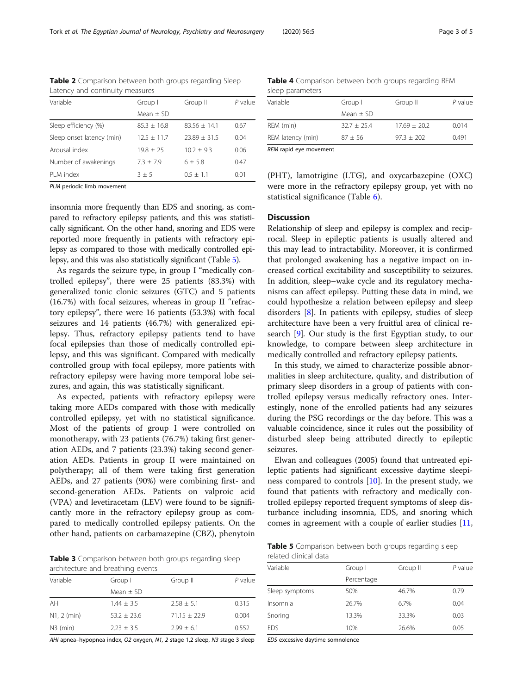| Laterie, and continually incasates |               |                |           |
|------------------------------------|---------------|----------------|-----------|
| Variable                           | Group I       | Group II       | $P$ value |
|                                    | Mean $\pm$ SD |                |           |
| Sleep efficiency (%)               | $85.3 + 16.8$ | $83.56 + 14.1$ | 0.67      |
| Sleep onset latency (min)          | $12.5 + 11.7$ | $23.89 + 31.5$ | 0.04      |
| Arousal index                      | $19.8 + 25$   | $10.2 + 9.3$   | 0.06      |
| Number of awakenings               | $7.3 + 7.9$   | $6 + 5.8$      | 0.47      |
| PLM index                          | $3 + 5$       | $0.5 + 1.1$    | 0.01      |
|                                    |               |                |           |

<span id="page-2-0"></span>Table 2 Comparison between both groups regarding Sleep Latency and continuity measures

PLM periodic limb movement

insomnia more frequently than EDS and snoring, as compared to refractory epilepsy patients, and this was statistically significant. On the other hand, snoring and EDS were reported more frequently in patients with refractory epilepsy as compared to those with medically controlled epilepsy, and this was also statistically significant (Table 5).

As regards the seizure type, in group I "medically controlled epilepsy", there were 25 patients (83.3%) with generalized tonic clonic seizures (GTC) and 5 patients (16.7%) with focal seizures, whereas in group II "refractory epilepsy", there were 16 patients (53.3%) with focal seizures and 14 patients (46.7%) with generalized epilepsy. Thus, refractory epilepsy patients tend to have focal epilepsies than those of medically controlled epilepsy, and this was significant. Compared with medically controlled group with focal epilepsy, more patients with refractory epilepsy were having more temporal lobe seizures, and again, this was statistically significant.

As expected, patients with refractory epilepsy were taking more AEDs compared with those with medically controlled epilepsy, yet with no statistical significance. Most of the patients of group I were controlled on monotherapy, with 23 patients (76.7%) taking first generation AEDs, and 7 patients (23.3%) taking second generation AEDs. Patients in group II were maintained on polytherapy; all of them were taking first generation AEDs, and 27 patients (90%) were combining first- and second-generation AEDs. Patients on valproic acid (VPA) and levetiracetam (LEV) were found to be significantly more in the refractory epilepsy group as compared to medically controlled epilepsy patients. On the other hand, patients on carbamazepine (CBZ), phenytoin

Table 3 Comparison between both groups regarding sleep architecture and breathing events

| Variable      | Group I       | Group II       | $P$ value |
|---------------|---------------|----------------|-----------|
|               | Mean $\pm$ SD |                |           |
| AHI           | $1.44 + 3.5$  | $2.58 + 5.1$   | 0.315     |
| $N1, 2$ (min) | $53.2 + 23.6$ | $71.15 + 22.9$ | 0.004     |
| $N3$ (min)    | $2.23 + 3.5$  | $7.99 + 6.1$   | 0.552     |

AHI apnea–hypopnea index, O2 oxygen, N1, 2 stage 1,2 sleep, N3 stage 3 sleep

Table 4 Comparison between both groups regarding REM sleep parameters

| REM latency (min) | $87 + 56$     | $97.3 + 202$   | 0.491     |
|-------------------|---------------|----------------|-----------|
|                   |               |                |           |
| REM (min)         | $32.7 + 25.4$ | $17.69 + 20.2$ | 0.014     |
|                   | Mean $\pm$ SD |                |           |
| Variable          | Group I       | Group II       | $P$ value |

REM rapid eye movement

(PHT), lamotrigine (LTG), and oxycarbazepine (OXC) were more in the refractory epilepsy group, yet with no statistical significance (Table [6](#page-3-0)).

#### **Discussion**

Relationship of sleep and epilepsy is complex and reciprocal. Sleep in epileptic patients is usually altered and this may lead to intractability. Moreover, it is confirmed that prolonged awakening has a negative impact on increased cortical excitability and susceptibility to seizures. In addition, sleep–wake cycle and its regulatory mechanisms can affect epilepsy. Putting these data in mind, we could hypothesize a relation between epilepsy and sleep disorders [\[8](#page-4-0)]. In patients with epilepsy, studies of sleep architecture have been a very fruitful area of clinical research [[9\]](#page-4-0). Our study is the first Egyptian study, to our knowledge, to compare between sleep architecture in medically controlled and refractory epilepsy patients.

In this study, we aimed to characterize possible abnormalities in sleep architecture, quality, and distribution of primary sleep disorders in a group of patients with controlled epilepsy versus medically refractory ones. Interestingly, none of the enrolled patients had any seizures during the PSG recordings or the day before. This was a valuable coincidence, since it rules out the possibility of disturbed sleep being attributed directly to epileptic seizures.

Elwan and colleagues (2005) found that untreated epileptic patients had significant excessive daytime sleepiness compared to controls  $[10]$  $[10]$ . In the present study, we found that patients with refractory and medically controlled epilepsy reported frequent symptoms of sleep disturbance including insomnia, EDS, and snoring which comes in agreement with a couple of earlier studies [[11](#page-4-0),

Table 5 Comparison between both groups regarding sleep related clinical data

| Variable       | Group I    | Group II | $P$ value |
|----------------|------------|----------|-----------|
|                | Percentage |          |           |
| Sleep symptoms | 50%        | 46.7%    | 0.79      |
| Insomnia       | 26.7%      | 6.7%     | 0.04      |
| Snoring        | 13.3%      | 33.3%    | 0.03      |
| <b>EDS</b>     | 10%        | 26.6%    | 0.05      |

EDS excessive daytime somnolence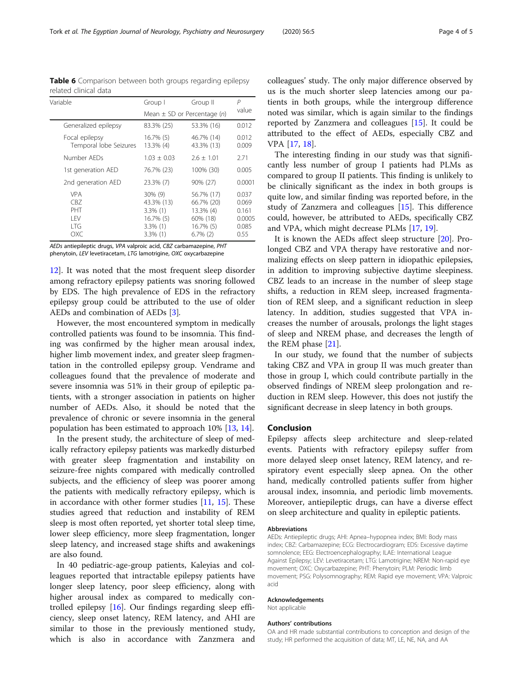AEDs antiepileptic drugs, VPA valproic acid, CBZ carbamazepine, PHT phenytoin, LEV levetiracetam, LTG lamotrigine, OXC oxycarbazepine

[12\]](#page-4-0). It was noted that the most frequent sleep disorder among refractory epilepsy patients was snoring followed by EDS. The high prevalence of EDS in the refractory epilepsy group could be attributed to the use of older AEDs and combination of AEDs [[3\]](#page-4-0).

However, the most encountered symptom in medically controlled patients was found to be insomnia. This finding was confirmed by the higher mean arousal index, higher limb movement index, and greater sleep fragmentation in the controlled epilepsy group. Vendrame and colleagues found that the prevalence of moderate and severe insomnia was 51% in their group of epileptic patients, with a stronger association in patients on higher number of AEDs. Also, it should be noted that the prevalence of chronic or severe insomnia in the general population has been estimated to approach 10% [\[13](#page-4-0), [14](#page-4-0)].

In the present study, the architecture of sleep of medically refractory epilepsy patients was markedly disturbed with greater sleep fragmentation and instability on seizure-free nights compared with medically controlled subjects, and the efficiency of sleep was poorer among the patients with medically refractory epilepsy, which is in accordance with other former studies [[11](#page-4-0), [15](#page-4-0)]. These studies agreed that reduction and instability of REM sleep is most often reported, yet shorter total sleep time, lower sleep efficiency, more sleep fragmentation, longer sleep latency, and increased stage shifts and awakenings are also found.

In 40 pediatric-age-group patients, Kaleyias and colleagues reported that intractable epilepsy patients have longer sleep latency, poor sleep efficiency, along with higher arousal index as compared to medically controlled epilepsy [\[16\]](#page-4-0). Our findings regarding sleep efficiency, sleep onset latency, REM latency, and AHI are similar to those in the previously mentioned study, which is also in accordance with Zanzmera and

colleagues' study. The only major difference observed by us is the much shorter sleep latencies among our patients in both groups, while the intergroup difference noted was similar, which is again similar to the findings reported by Zanzmera and colleagues [[15\]](#page-4-0). It could be attributed to the effect of AEDs, especially CBZ and VPA [\[17,](#page-4-0) [18\]](#page-4-0).

The interesting finding in our study was that significantly less number of group I patients had PLMs as compared to group II patients. This finding is unlikely to be clinically significant as the index in both groups is quite low, and similar finding was reported before, in the study of Zanzmera and colleagues [[15](#page-4-0)]. This difference could, however, be attributed to AEDs, specifically CBZ and VPA, which might decrease PLMs [[17,](#page-4-0) [19\]](#page-4-0).

It is known the AEDs affect sleep structure [[20\]](#page-4-0). Prolonged CBZ and VPA therapy have restorative and normalizing effects on sleep pattern in idiopathic epilepsies, in addition to improving subjective daytime sleepiness. CBZ leads to an increase in the number of sleep stage shifts, a reduction in REM sleep, increased fragmentation of REM sleep, and a significant reduction in sleep latency. In addition, studies suggested that VPA increases the number of arousals, prolongs the light stages of sleep and NREM phase, and decreases the length of the REM phase [\[21](#page-4-0)].

In our study, we found that the number of subjects taking CBZ and VPA in group II was much greater than those in group I, which could contribute partially in the observed findings of NREM sleep prolongation and reduction in REM sleep. However, this does not justify the significant decrease in sleep latency in both groups.

#### Conclusion

Epilepsy affects sleep architecture and sleep-related events. Patients with refractory epilepsy suffer from more delayed sleep onset latency, REM latency, and respiratory event especially sleep apnea. On the other hand, medically controlled patients suffer from higher arousal index, insomnia, and periodic limb movements. Moreover, antiepileptic drugs, can have a diverse effect on sleep architecture and quality in epileptic patients.

#### Abbreviations

AEDs: Antiepileptic drugs; AHI: Apnea–hypopnea index; BMI: Body mass index; CBZ: Carbamazepine; ECG: Electrocardiogram; EDS: Excessive daytime somnolence; EEG: Electroencephalography; ILAE: International League Against Epilepsy; LEV: Levetiracetam; LTG: Lamotrigine; NREM: Non-rapid eye movement; OXC: Oxycarbazepine; PHT: Phenytoin; PLM: Periodic limb movement; PSG: Polysomnography; REM: Rapid eye movement; VPA: Valproic acid

#### Acknowledgements

Not applicable

#### Authors' contributions

OA and HR made substantial contributions to conception and design of the study; HR performed the acquisition of data; MT, LE, NE, NA, and AA

<span id="page-3-0"></span>Table 6 Comparison between both groups regarding epilepsy related clinical data

| Variable                                        | Group I                                                                               | Group II                                                                      | Р                                                  |
|-------------------------------------------------|---------------------------------------------------------------------------------------|-------------------------------------------------------------------------------|----------------------------------------------------|
|                                                 |                                                                                       |                                                                               | value                                              |
|                                                 |                                                                                       | Mean $\pm$ SD or Percentage (n)                                               |                                                    |
| Generalized epilepsy                            | 83.3% (25)                                                                            | 53.3% (16)                                                                    | 0.012                                              |
| Focal epilepsy<br>Temporal lobe Seizures        | 16.7% (5)<br>13.3% (4)                                                                | 46.7% (14)<br>43.3% (13)                                                      | 0.012<br>0.009                                     |
| Number AFDs                                     | $1.03 + 0.03$                                                                         | $2.6 + 1.01$                                                                  | 2.71                                               |
| 1st generation AED                              | 76.7% (23)                                                                            | 100% (30)                                                                     | 0.005                                              |
| 2nd generation AED                              | 23.3% (7)                                                                             | 90% (27)                                                                      | 0.0001                                             |
| <b>VPA</b><br>CBZ<br>PHT<br>1 FV<br>I TG<br>ОХС | $30\%$ (9)<br>43.3% (13)<br>$3.3\%$ (1)<br>$16.7\%$ (5)<br>$3.3\%$ (1)<br>$3.3\%$ (1) | 56.7% (17)<br>66.7% (20)<br>13.3% (4)<br>60% (18)<br>16.7% (5)<br>$6.7\%$ (2) | 0.037<br>0.069<br>0.161<br>0.0005<br>0.085<br>0.55 |